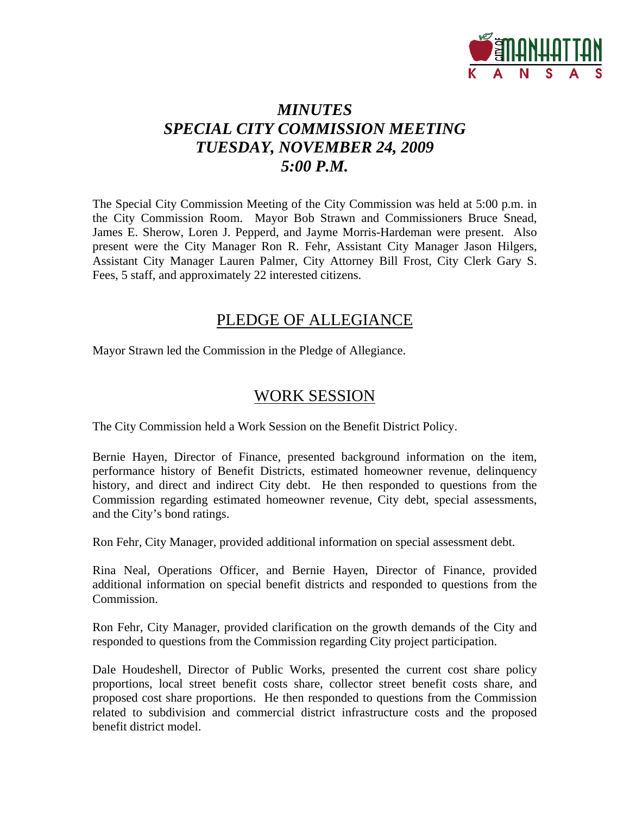

# *MINUTES SPECIAL CITY COMMISSION MEETING TUESDAY, NOVEMBER 24, 2009 5:00 P.M.*

The Special City Commission Meeting of the City Commission was held at 5:00 p.m. in the City Commission Room. Mayor Bob Strawn and Commissioners Bruce Snead, James E. Sherow, Loren J. Pepperd, and Jayme Morris-Hardeman were present. Also present were the City Manager Ron R. Fehr, Assistant City Manager Jason Hilgers, Assistant City Manager Lauren Palmer, City Attorney Bill Frost, City Clerk Gary S. Fees, 5 staff, and approximately 22 interested citizens.

## PLEDGE OF ALLEGIANCE

Mayor Strawn led the Commission in the Pledge of Allegiance.

#### WORK SESSION

The City Commission held a Work Session on the Benefit District Policy.

Bernie Hayen, Director of Finance, presented background information on the item, performance history of Benefit Districts, estimated homeowner revenue, delinquency history, and direct and indirect City debt. He then responded to questions from the Commission regarding estimated homeowner revenue, City debt, special assessments, and the City's bond ratings.

Ron Fehr, City Manager, provided additional information on special assessment debt.

Rina Neal, Operations Officer, and Bernie Hayen, Director of Finance, provided additional information on special benefit districts and responded to questions from the Commission.

Ron Fehr, City Manager, provided clarification on the growth demands of the City and responded to questions from the Commission regarding City project participation.

Dale Houdeshell, Director of Public Works, presented the current cost share policy proportions, local street benefit costs share, collector street benefit costs share, and proposed cost share proportions. He then responded to questions from the Commission related to subdivision and commercial district infrastructure costs and the proposed benefit district model.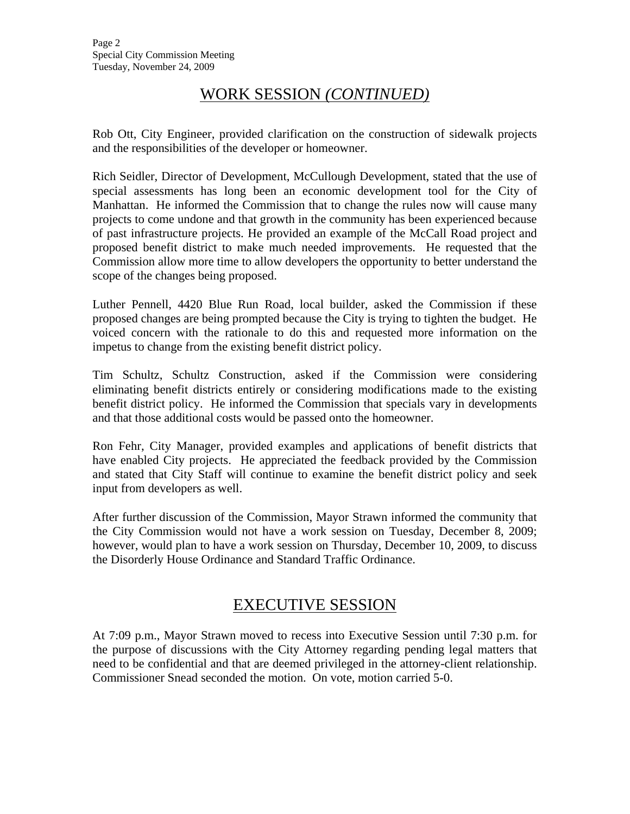## WORK SESSION *(CONTINUED)*

Rob Ott, City Engineer, provided clarification on the construction of sidewalk projects and the responsibilities of the developer or homeowner.

Rich Seidler, Director of Development, McCullough Development, stated that the use of special assessments has long been an economic development tool for the City of Manhattan. He informed the Commission that to change the rules now will cause many projects to come undone and that growth in the community has been experienced because of past infrastructure projects. He provided an example of the McCall Road project and proposed benefit district to make much needed improvements. He requested that the Commission allow more time to allow developers the opportunity to better understand the scope of the changes being proposed.

Luther Pennell, 4420 Blue Run Road, local builder, asked the Commission if these proposed changes are being prompted because the City is trying to tighten the budget. He voiced concern with the rationale to do this and requested more information on the impetus to change from the existing benefit district policy.

Tim Schultz, Schultz Construction, asked if the Commission were considering eliminating benefit districts entirely or considering modifications made to the existing benefit district policy. He informed the Commission that specials vary in developments and that those additional costs would be passed onto the homeowner.

Ron Fehr, City Manager, provided examples and applications of benefit districts that have enabled City projects. He appreciated the feedback provided by the Commission and stated that City Staff will continue to examine the benefit district policy and seek input from developers as well.

After further discussion of the Commission, Mayor Strawn informed the community that the City Commission would not have a work session on Tuesday, December 8, 2009; however, would plan to have a work session on Thursday, December 10, 2009, to discuss the Disorderly House Ordinance and Standard Traffic Ordinance.

## EXECUTIVE SESSION

At 7:09 p.m., Mayor Strawn moved to recess into Executive Session until 7:30 p.m. for the purpose of discussions with the City Attorney regarding pending legal matters that need to be confidential and that are deemed privileged in the attorney-client relationship. Commissioner Snead seconded the motion. On vote, motion carried 5-0.